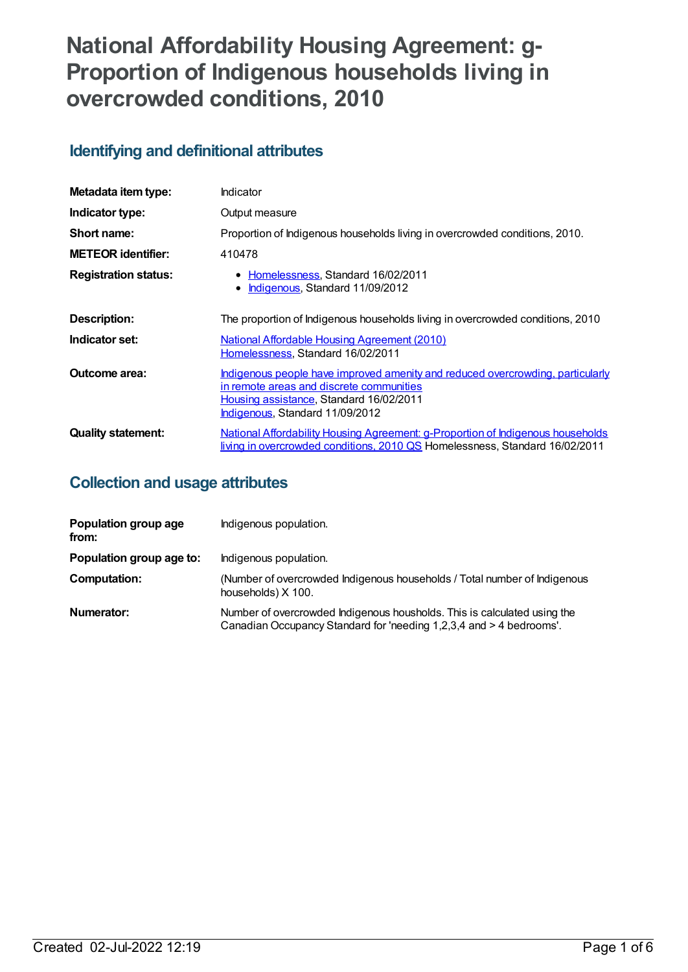# **National Affordability Housing Agreement: g-Proportion of Indigenous households living in overcrowded conditions, 2010**

# **Identifying and definitional attributes**

| Metadata item type:         | <b>Indicator</b>                                                                                                                                                                                         |
|-----------------------------|----------------------------------------------------------------------------------------------------------------------------------------------------------------------------------------------------------|
| Indicator type:             | Output measure                                                                                                                                                                                           |
| Short name:                 | Proportion of Indigenous households living in overcrowded conditions, 2010.                                                                                                                              |
| <b>METEOR identifier:</b>   | 410478                                                                                                                                                                                                   |
| <b>Registration status:</b> | • Homelessness, Standard 16/02/2011<br>Indigenous, Standard 11/09/2012<br>٠                                                                                                                              |
| Description:                | The proportion of Indigenous households living in overcrowded conditions, 2010                                                                                                                           |
| Indicator set:              | <u>National Affordable Housing Agreement (2010)</u><br>Homelessness, Standard 16/02/2011                                                                                                                 |
| Outcome area:               | Indigenous people have improved amenity and reduced overcrowding, particularly<br>in remote areas and discrete communities<br>Housing assistance, Standard 16/02/2011<br>Indigenous, Standard 11/09/2012 |
| <b>Quality statement:</b>   | <b>National Affordability Housing Agreement: g-Proportion of Indigenous households</b><br><u>living in overcrowded conditions, 2010 QS</u> Homelessness, Standard 16/02/2011                             |

## **Collection and usage attributes**

| Population group age<br>from: | Indigenous population.                                                                                                                          |
|-------------------------------|-------------------------------------------------------------------------------------------------------------------------------------------------|
| Population group age to:      | Indigenous population.                                                                                                                          |
| Computation:                  | (Number of overcrowded Indigenous households / Total number of Indigenous<br>households) X 100.                                                 |
| Numerator:                    | Number of overcrowded Indigenous housholds. This is calculated using the<br>Canadian Occupancy Standard for 'needing 1,2,3,4 and > 4 bedrooms'. |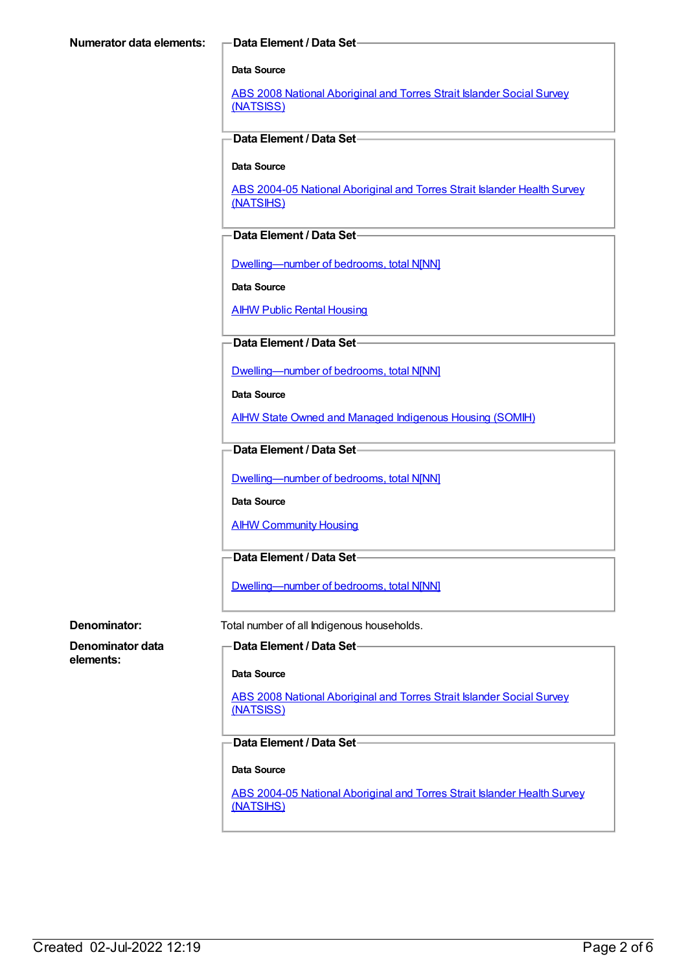**Data Source**

ABS 2008 National [Aboriginal](https://meteor.aihw.gov.au/content/393863) and Torres Strait Islander Social Survey (NATSISS)

**Data Element / Data Set**

**Data Source**

ABS 2004-05 National [Aboriginal](https://meteor.aihw.gov.au/content/394146) and Torres Strait Islander Health Survey (NATSIHS)

**Data Element / Data Set**

[Dwelling—number](https://meteor.aihw.gov.au/content/302513) of bedrooms, total N[NN]

**Data Source**

AIHW Public Rental [Housing](https://meteor.aihw.gov.au/content/410486)

#### **Data Element / Data Set**

[Dwelling—number](https://meteor.aihw.gov.au/content/302513) of bedrooms, total N[NN]

**Data Source**

AIHW State Owned and Managed [Indigenous](https://meteor.aihw.gov.au/content/410489) Housing (SOMIH)

**Data Element / Data Set**

[Dwelling—number](https://meteor.aihw.gov.au/content/302513) of bedrooms, total N[NN]

**Data Source**

AIHW [Community](https://meteor.aihw.gov.au/content/410492) Housing

### **Data Element / Data Set**

[Dwelling—number](https://meteor.aihw.gov.au/content/302513) of bedrooms, total N[NN]

**Denominator:** Total number of all Indigenous households.

**Denominator data elements:**

**Data Element / Data Set**

**Data Source**

ABS 2008 National [Aboriginal](https://meteor.aihw.gov.au/content/393863) and Torres Strait Islander Social Survey (NATSISS)

#### **Data Element / Data Set**

**Data Source**

ABS 2004-05 National [Aboriginal](https://meteor.aihw.gov.au/content/394146) and Torres Strait Islander Health Survey (NATSIHS)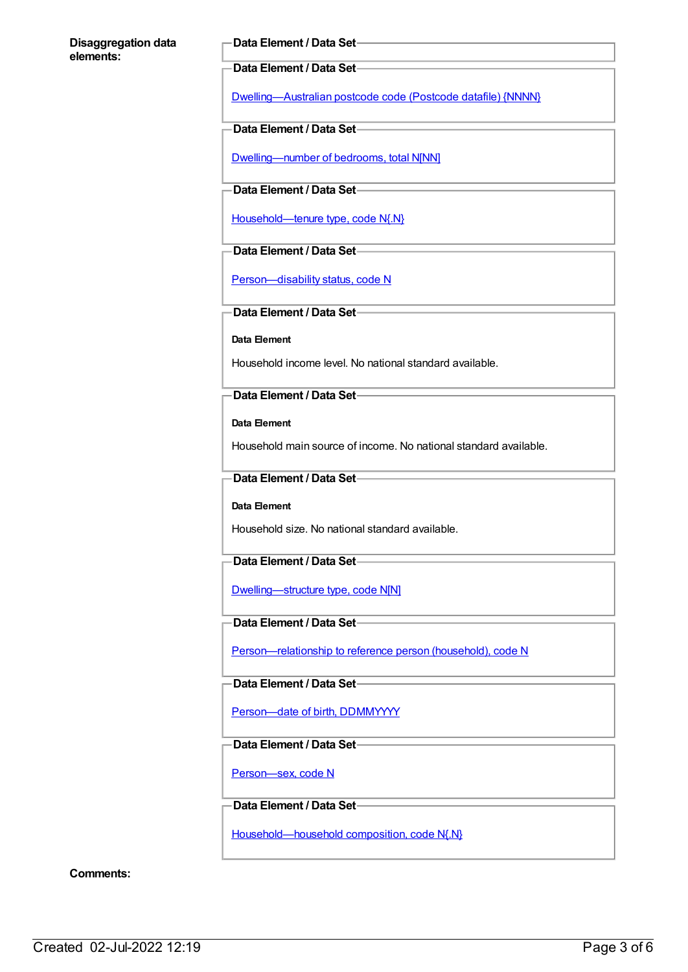#### **Disaggregation data elements:**

#### **Data Element / Data Set**

#### **Data Element / Data Set**

[Dwelling—Australian](https://meteor.aihw.gov.au/content/302040) postcode code (Postcode datafile) {NNNN}

#### **Data Element / Data Set**

[Dwelling—number](https://meteor.aihw.gov.au/content/302513) of bedrooms, total N[NN]

#### **Data Element / Data Set**

[Household—tenure](https://meteor.aihw.gov.au/content/303356) type, code N{.N}

### **Data Element / Data Set**

Person-disability status, code N

#### **Data Element / Data Set**

#### **Data Element**

Household income level. No national standard available.

#### **Data Element / Data Set**

**Data Element**

Household main source of income. No national standard available.

### **Data Element / Data Set**

#### **Data Element**

Household size. No national standard available.

#### **Data Element / Data Set**

[Dwelling—structure](https://meteor.aihw.gov.au/content/270125) type, code N[N]

### **Data Element / Data Set**

Person-relationship to reference person (household), code N

**Data Element / Data Set**

[Person—date](https://meteor.aihw.gov.au/content/287007) of birth, DDMMYYYY

#### **Data Element / Data Set**

[Person—sex,](https://meteor.aihw.gov.au/content/287316) code N

### **Data Element / Data Set**

[Household—household](https://meteor.aihw.gov.au/content/301755) composition, code N{.N}

#### **Comments:**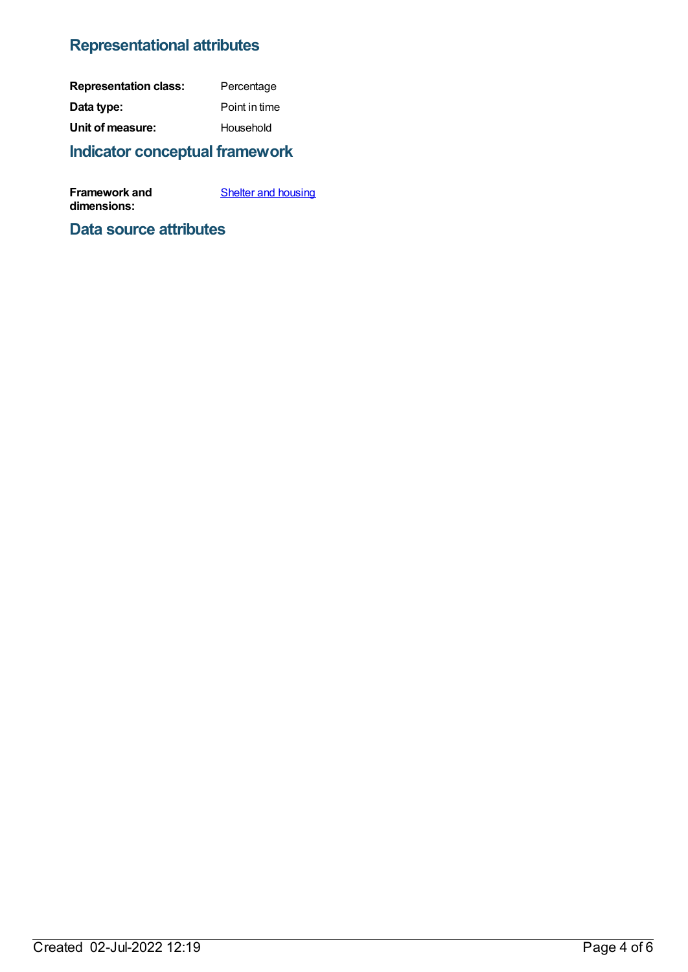# **Representational attributes**

| <b>Representation class:</b> | Percentage    |
|------------------------------|---------------|
| Data type:                   | Point in time |
| Unit of measure:             | Household     |

# **Indicator conceptual framework**

**Framework and dimensions: Shelter and [housing](https://meteor.aihw.gov.au/content/392699)** 

## **Data source attributes**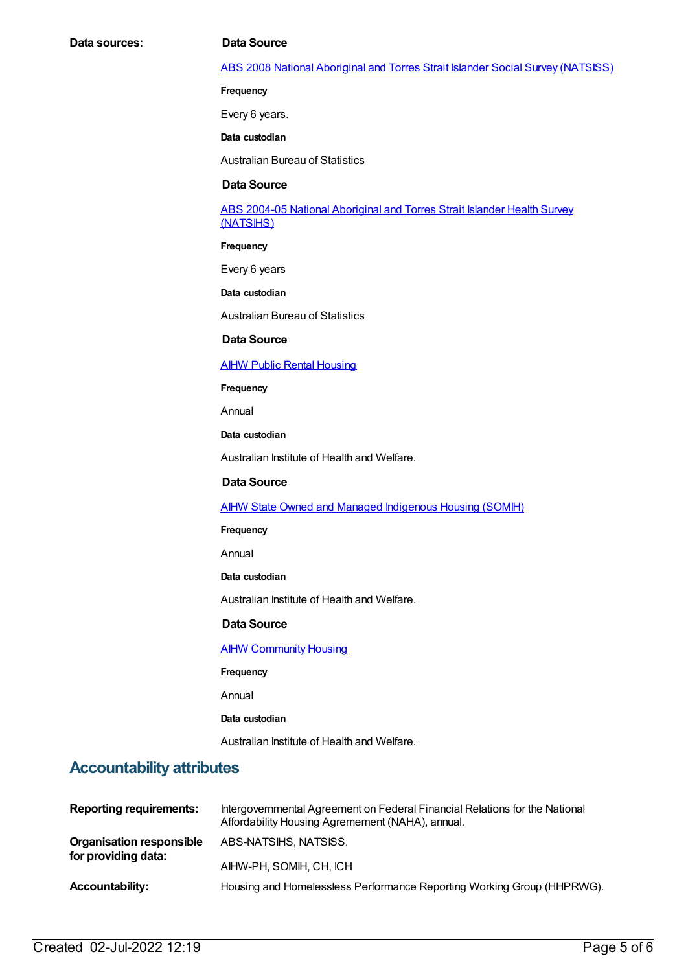#### ABS 2008 National Aboriginal and Torres Strait Islander Social Survey [\(NATSISS\)](https://meteor.aihw.gov.au/content/393863)

**Frequency**

Every 6 years.

**Data custodian**

Australian Bureau of Statistics

#### **Data Source**

ABS 2004-05 National [Aboriginal](https://meteor.aihw.gov.au/content/394146) and Torres Strait Islander Health Survey (NATSIHS)

**Frequency**

Every 6 years

**Data custodian**

Australian Bureau of Statistics

#### **Data Source**

#### AIHW Public Rental [Housing](https://meteor.aihw.gov.au/content/410486)

**Frequency**

Annual

**Data custodian**

Australian Institute of Health and Welfare.

#### **Data Source**

AIHW State Owned and Managed [Indigenous](https://meteor.aihw.gov.au/content/410489) Housing (SOMIH)

**Frequency**

Annual

**Data custodian**

Australian Institute of Health and Welfare.

#### **Data Source**

AIHW [Community](https://meteor.aihw.gov.au/content/410492) Housing

**Frequency**

Annual

**Data custodian**

Australian Institute of Health and Welfare.

## **Accountability attributes**

| <b>Reporting requirements:</b>                         | Intergovernmental Agreement on Federal Financial Relations for the National<br>Affordability Housing Agremement (NAHA), annual. |
|--------------------------------------------------------|---------------------------------------------------------------------------------------------------------------------------------|
| <b>Organisation responsible</b><br>for providing data: | ABS-NATSIHS, NATSISS.                                                                                                           |
|                                                        | AIHW-PH, SOMIH, CH, ICH                                                                                                         |
| <b>Accountability:</b>                                 | Housing and Homelessless Performance Reporting Working Group (HHPRWG).                                                          |